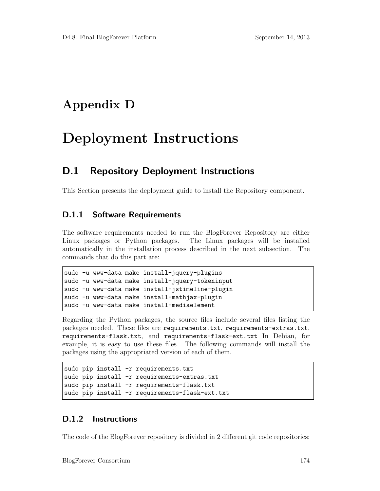## Appendix D

# Deployment Instructions

## D.1 Repository Deployment Instructions

This Section presents the deployment guide to install the Repository component.

### D.1.1 Software Requirements

The software requirements needed to run the BlogForever Repository are either Linux packages or Python packages. The Linux packages will be installed automatically in the installation process described in the next subsection. The commands that do this part are:

```
sudo -u www-data make install-jquery-plugins
sudo -u www-data make install-jquery-tokeninput
sudo -u www-data make install-jstimeline-plugin
sudo -u www-data make install-mathjax-plugin
sudo -u www-data make install-mediaelement
```
Regarding the Python packages, the source files include several files listing the packages needed. These files are requirements.txt, requirements-extras.txt, requirements-flask.txt, and requirements-flask-ext.txt In Debian, for example, it is easy to use these files. The following commands will install the packages using the appropriated version of each of them.

```
sudo pip install -r requirements.txt
sudo pip install -r requirements-extras.txt
sudo pip install -r requirements-flask.txt
sudo pip install -r requirements-flask-ext.txt
```
#### D.1.2 Instructions

The code of the BlogForever repository is divided in 2 different git code repositories: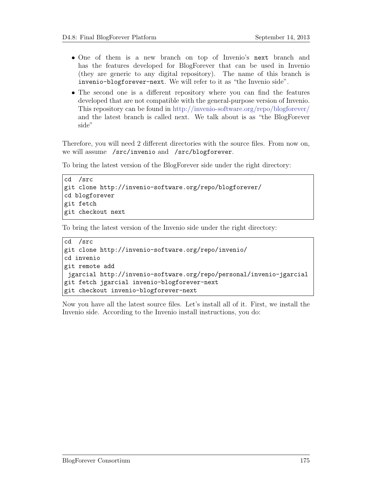- One of them is a new branch on top of Invenio's next branch and has the features developed for BlogForever that can be used in Invenio (they are generic to any digital repository). The name of this branch is invenio-blogforever-next. We will refer to it as "the Invenio side".
- The second one is a different repository where you can find the features developed that are not compatible with the general-purpose version of Invenio. This repository can be found in http://invenio-software.org/repo/blogforever/ and the latest branch is called next. We talk about is as "the BlogForever side"

Therefore, you will need 2 different directories with the source files. From now on, we will assume /src/invenio and /src/blogforever.

To bring the latest version of the BlogForever side under the right directory:

```
cd /src
git clone http://invenio-software.org/repo/blogforever/
cd blogforever
git fetch
git checkout next
```
To bring the latest version of the Invenio side under the right directory:

```
cd /src
git clone http://invenio-software.org/repo/invenio/
cd invenio
git remote add
jgarcial http://invenio-software.org/repo/personal/invenio-jgarcial
git fetch jgarcial invenio-blogforever-next
git checkout invenio-blogforever-next
```
Now you have all the latest source files. Let's install all of it. First, we install the Invenio side. According to the Invenio install instructions, you do: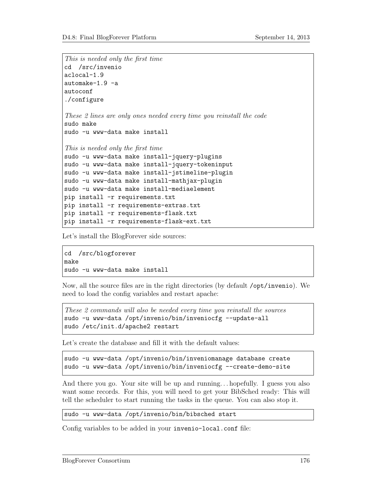```
This is needed only the first time
cd /src/invenio
aclocal-1.9
automake-1.9 -a
autoconf
./configure
These 2 lines are only ones needed every time you reinstall the code
sudo make
sudo -u www-data make install
This is needed only the first time
sudo -u www-data make install-jquery-plugins
sudo -u www-data make install-jquery-tokeninput
sudo -u www-data make install-jstimeline-plugin
sudo -u www-data make install-mathjax-plugin
sudo -u www-data make install-mediaelement
pip install -r requirements.txt
pip install -r requirements-extras.txt
pip install -r requirements-flask.txt
pip install -r requirements-flask-ext.txt
```
Let's install the BlogForever side sources:

cd /src/blogforever make sudo -u www-data make install

Now, all the source files are in the right directories (by default /opt/invenio). We need to load the config variables and restart apache:

These 2 commands will also be needed every time you reinstall the sources sudo -u www-data /opt/invenio/bin/inveniocfg --update-all sudo /etc/init.d/apache2 restart

Let's create the database and fill it with the default values:

```
sudo -u www-data /opt/invenio/bin/inveniomanage database create
sudo -u www-data /opt/invenio/bin/inveniocfg --create-demo-site
```
And there you go. Your site will be up and running. . . hopefully. I guess you also want some records. For this, you will need to get your BibSched ready: This will tell the scheduler to start running the tasks in the queue. You can also stop it.

sudo -u www-data /opt/invenio/bin/bibsched start

Config variables to be added in your invenio-local.conf file: